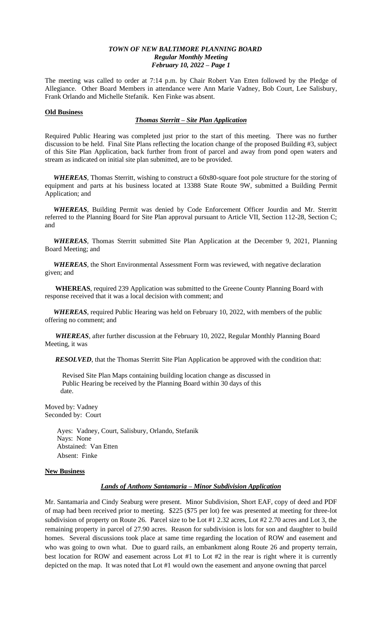The meeting was called to order at 7:14 p.m. by Chair Robert Van Etten followed by the Pledge of Allegiance. Other Board Members in attendance were Ann Marie Vadney, Bob Court, Lee Salisbury, Frank Orlando and Michelle Stefanik. Ken Finke was absent.

#### **Old Business**

# *Thomas Sterritt – Site Plan Application*

Required Public Hearing was completed just prior to the start of this meeting. There was no further discussion to be held. Final Site Plans reflecting the location change of the proposed Building #3, subject of this Site Plan Application, back further from front of parcel and away from pond open waters and stream as indicated on initial site plan submitted, are to be provided.

 *WHEREAS*, Thomas Sterritt, wishing to construct a 60x80-square foot pole structure for the storing of equipment and parts at his business located at 13388 State Route 9W, submitted a Building Permit Application; and

 *WHEREAS*, Building Permit was denied by Code Enforcement Officer Jourdin and Mr. Sterritt referred to the Planning Board for Site Plan approval pursuant to Article VII, Section 112-28, Section C; and

 *WHEREAS*, Thomas Sterritt submitted Site Plan Application at the December 9, 2021, Planning Board Meeting; and

 *WHEREAS*, the Short Environmental Assessment Form was reviewed, with negative declaration given; and

 **WHEREAS**, required 239 Application was submitted to the Greene County Planning Board with response received that it was a local decision with comment; and

 *WHEREAS*, required Public Hearing was held on February 10, 2022, with members of the public offering no comment; and

 *WHEREAS*, after further discussion at the February 10, 2022, Regular Monthly Planning Board Meeting, it was

**RESOLVED**, that the Thomas Sterritt Site Plan Application be approved with the condition that:

 Revised Site Plan Maps containing building location change as discussed in Public Hearing be received by the Planning Board within 30 days of this date.

Moved by: Vadney Seconded by: Court

> Ayes: Vadney, Court, Salisbury, Orlando, Stefanik Nays: None Abstained: Van Etten Absent: Finke

## **New Business**

## *Lands of Anthony Santamaria – Minor Subdivision Application*

Mr. Santamaria and Cindy Seaburg were present. Minor Subdivision, Short EAF, copy of deed and PDF of map had been received prior to meeting. \$225 (\$75 per lot) fee was presented at meeting for three-lot subdivision of property on Route 26. Parcel size to be Lot #1 2.32 acres, Lot #2 2.70 acres and Lot 3, the remaining property in parcel of 27.90 acres. Reason for subdivision is lots for son and daughter to build homes. Several discussions took place at same time regarding the location of ROW and easement and who was going to own what. Due to guard rails, an embankment along Route 26 and property terrain, best location for ROW and easement across Lot #1 to Lot #2 in the rear is right where it is currently depicted on the map. It was noted that Lot #1 would own the easement and anyone owning that parcel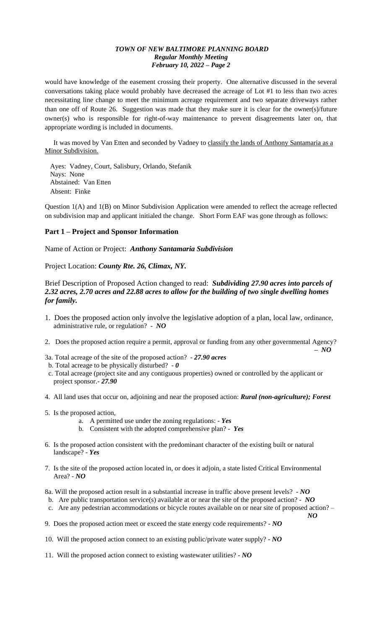would have knowledge of the easement crossing their property. One alternative discussed in the several conversations taking place would probably have decreased the acreage of Lot #1 to less than two acres necessitating line change to meet the minimum acreage requirement and two separate driveways rather than one off of Route 26. Suggestion was made that they make sure it is clear for the owner(s)/future owner(s) who is responsible for right-of-way maintenance to prevent disagreements later on, that appropriate wording is included in documents.

 It was moved by Van Etten and seconded by Vadney to classify the lands of Anthony Santamaria as a Minor Subdivision.

 Ayes: Vadney, Court, Salisbury, Orlando, Stefanik Nays: None Abstained: Van Etten Absent: Finke

Question 1(A) and 1(B) on Minor Subdivision Application were amended to reflect the acreage reflected on subdivision map and applicant initialed the change. Short Form EAF was gone through as follows:

## **Part 1 – Project and Sponsor Information**

Name of Action or Project: *Anthony Santamaria Subdivision*

Project Location: *County Rte. 26, Climax, NY.*

# Brief Description of Proposed Action changed to read: *Subdividing 27.90 acres into parcels of 2.32 acres, 2.70 acres and 22.88 acres to allow for the building of two single dwelling homes for family.*

- 1. Does the proposed action only involve the legislative adoption of a plan, local law, ordinance, administrative rule, or regulation? - *NO*
- 2. Does the proposed action require a permit, approval or funding from any other governmental Agency?
- *– NO* 3a. Total acreage of the site of the proposed action? - *27.90 acres*
- b. Total acreage to be physically disturbed? *0*
- c. Total acreage (project site and any contiguous properties) owned or controlled by the applicant or project sponsor.- *27.90*
- 4. All land uses that occur on, adjoining and near the proposed action: *Rural (non-agriculture); Forest*
- 5. Is the proposed action,
	- a. A permitted use under the zoning regulations: *Yes*
	- b. Consistent with the adopted comprehensive plan? *Yes*
- 6. Is the proposed action consistent with the predominant character of the existing built or natural landscape? - *Yes*
- 7. Is the site of the proposed action located in, or does it adjoin, a state listed Critical Environmental Area? - *NO*
- 8a. Will the proposed action result in a substantial increase in traffic above present levels? *NO*
- b. Are public transportation service(s) available at or near the site of the proposed action? *NO*
- c. Are any pedestrian accommodations or bicycle routes available on or near site of proposed action? *NO*

9. Does the proposed action meet or exceed the state energy code requirements? - *NO*

10. Will the proposed action connect to an existing public/private water supply? - *NO*

11. Will the proposed action connect to existing wastewater utilities? - *NO*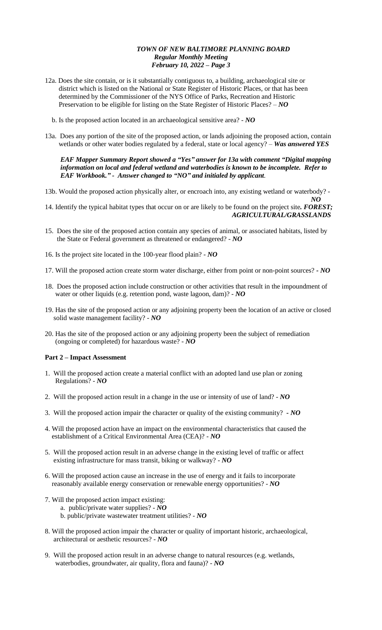- 12a. Does the site contain, or is it substantially contiguous to, a building, archaeological site or district which is listed on the National or State Register of Historic Places, or that has been determined by the Commissioner of the NYS Office of Parks, Recreation and Historic Preservation to be eligible for listing on the State Register of Historic Places? – *NO*
	- b. Is the proposed action located in an archaeological sensitive area? *NO*
- 13a. Does any portion of the site of the proposed action, or lands adjoining the proposed action, contain wetlands or other water bodies regulated by a federal, state or local agency? – *Was answered YES*

 *EAF Mapper Summary Report showed a "Yes" answer for 13a with comment "Digital mapping information on local and federal wetland and waterbodies is known to be incomplete. Refer to EAF Workbook." - Answer changed to "NO" and initialed by applicant.*

- 13b. Would the proposed action physically alter, or encroach into, any existing wetland or waterbody? -
- *NO* 14. Identify the typical habitat types that occur on or are likely to be found on the project site*. FOREST; AGRICULTURAL/GRASSLANDS*
- 15. Does the site of the proposed action contain any species of animal, or associated habitats, listed by the State or Federal government as threatened or endangered? - *NO*
- 16. Is the project site located in the 100-year flood plain? *NO*
- 17. Will the proposed action create storm water discharge, either from point or non-point sources? *- NO*
- 18. Does the proposed action include construction or other activities that result in the impoundment of water or other liquids (e.g. retention pond, waste lagoon, dam)? - *NO*
- 19. Has the site of the proposed action or any adjoining property been the location of an active or closed solid waste management facility? - *NO*
- 20. Has the site of the proposed action or any adjoining property been the subject of remediation (ongoing or completed) for hazardous waste? - *NO*

#### **Part 2 – Impact Assessment**

- 1. Will the proposed action create a material conflict with an adopted land use plan or zoning Regulations? - *NO*
- 2. Will the proposed action result in a change in the use or intensity of use of land? *NO*
- 3. Will the proposed action impair the character or quality of the existing community? *- NO*
- 4. Will the proposed action have an impact on the environmental characteristics that caused the establishment of a Critical Environmental Area (CEA)? - *NO*
- 5. Will the proposed action result in an adverse change in the existing level of traffic or affect existing infrastructure for mass transit, biking or walkway? - *NO*
- 6. Will the proposed action cause an increase in the use of energy and it fails to incorporate reasonably available energy conservation or renewable energy opportunities? - *NO*
- 7. Will the proposed action impact existing:
	- a. public/private water supplies? *NO*
	- b. public/private wastewater treatment utilities? *NO*
- 8. Will the proposed action impair the character or quality of important historic, archaeological, architectural or aesthetic resources? - *NO*
- 9. Will the proposed action result in an adverse change to natural resources (e.g. wetlands, waterbodies, groundwater, air quality, flora and fauna)? - *NO*